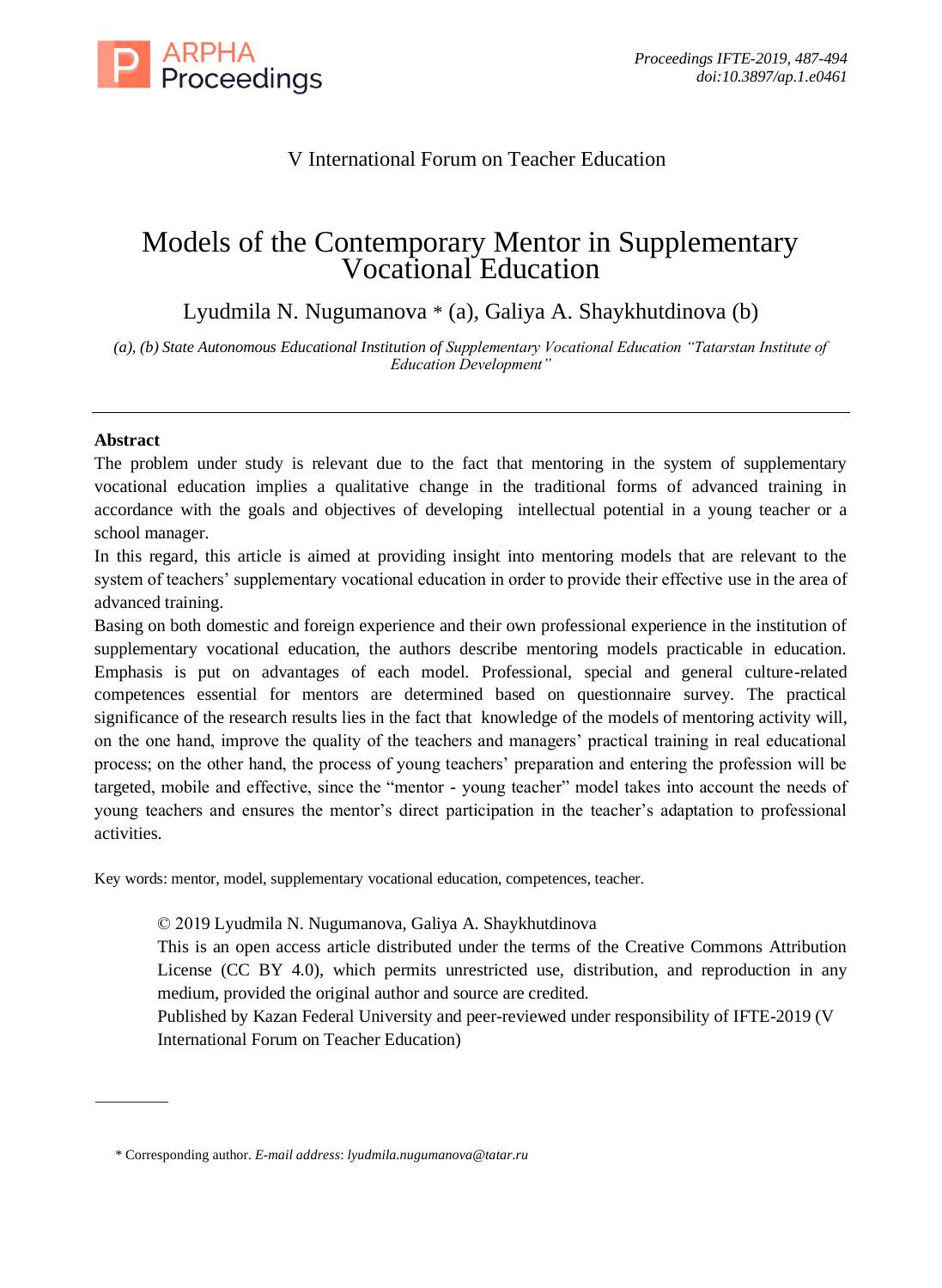

## V International Forum on Teacher Education

# Models of the Contemporary Mentor in Supplementary Vocational Education

Lyudmila N. Nugumanova \* (a), Galiya A. Shaykhutdinova (b)

*(a), (b) State Autonomous Educational Institution of Supplementary Vocational Education "Tatarstan Institute of Education Development"*

### **Abstract**

The problem under study is relevant due to the fact that mentoring in the system of supplementary vocational education implies a qualitative change in the traditional forms of advanced training in accordance with the goals and objectives of developing intellectual potential in a young teacher or a school manager.

In this regard, this article is aimed at providing insight into mentoring models that are relevant to the system of teachers' supplementary vocational education in order to provide their effective use in the area of advanced training.

Basing on both domestic and foreign experience and their own professional experience in the institution of supplementary vocational education, the authors describe mentoring models practicable in education. Emphasis is put on advantages of each model. Professional, special and general culture-related competences essential for mentors are determined based on questionnaire survey. The practical significance of the research results lies in the fact that knowledge of the models of mentoring activity will, on the one hand, improve the quality of the teachers and managers' practical training in real educational process; on the other hand, the process of young teachers' preparation and entering the profession will be targeted, mobile and effective, since the "mentor - young teacher" model takes into account the needs of young teachers and ensures the mentor's direct participation in the teacher's adaptation to professional activities.

Key words: mentor, model, supplementary vocational education, competences, teacher.

© 2019 Lyudmila N. Nugumanova, Galiya A. Shaykhutdinova

This is an open access article distributed under the terms of the Creative Commons Attribution License (CC BY 4.0), which permits unrestricted use, distribution, and reproduction in any medium, provided the original author and source are credited.

Published by Kazan Federal University and peer-reviewed under responsibility of IFTE-2019 (V International Forum on Teacher Education)

<sup>\*</sup> Corresponding author. *E-mail address*: *lyudmila.nugumanova@tatar.ru*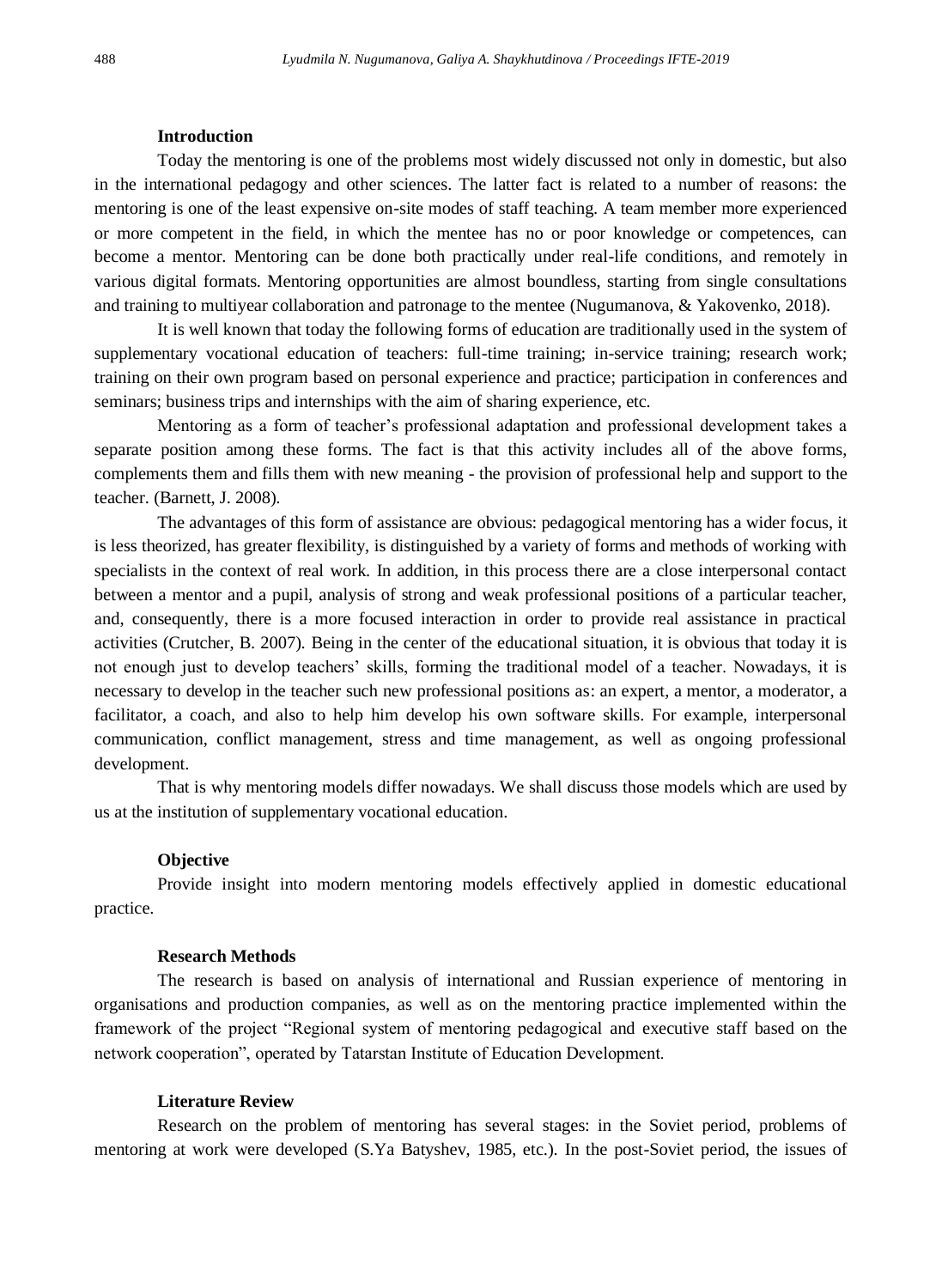#### **Introduction**

Today the mentoring is one of the problems most widely discussed not only in domestic, but also in the international pedagogy and other sciences. The latter fact is related to a number of reasons: the mentoring is one of the least expensive on-site modes of staff teaching. A team member more experienced or more competent in the field, in which the mentee has no or poor knowledge or competences, can become a mentor. Mentoring can be done both practically under real-life conditions, and remotely in various digital formats. Mentoring opportunities are almost boundless, starting from single consultations and training to multiyear collaboration and patronage to the mentee (Nugumanova, & Yakovenko, 2018).

It is well known that today the following forms of education are traditionally used in the system of supplementary vocational education of teachers: full-time training; in-service training; research work; training on their own program based on personal experience and practice; participation in conferences and seminars; business trips and internships with the aim of sharing experience, etc.

Mentoring as a form of teacher's professional adaptation and professional development takes a separate position among these forms. The fact is that this activity includes all of the above forms, complements them and fills them with new meaning - the provision of professional help and support to the teacher. (Barnett, J. 2008).

The advantages of this form of assistance are obvious: pedagogical mentoring has a wider focus, it is less theorized, has greater flexibility, is distinguished by a variety of forms and methods of working with specialists in the context of real work. In addition, in this process there are a close interpersonal contact between a mentor and a pupil, analysis of strong and weak professional positions of a particular teacher, and, consequently, there is a more focused interaction in order to provide real assistance in practical activities (Crutcher, B. 2007). Being in the center of the educational situation, it is obvious that today it is not enough just to develop teachers' skills, forming the traditional model of a teacher. Nowadays, it is necessary to develop in the teacher such new professional positions as: an expert, a mentor, a moderator, a facilitator, a coach, and also to help him develop his own software skills. For example, interpersonal communication, conflict management, stress and time management, as well as ongoing professional development.

That is why mentoring models differ nowadays. We shall discuss those models which are used by us at the institution of supplementary vocational education.

#### **Objective**

Provide insight into modern mentoring models effectively applied in domestic educational practice.

#### **Research Methods**

The research is based on analysis of international and Russian experience of mentoring in organisations and production companies, as well as on the mentoring practice implemented within the framework of the project "Regional system of mentoring pedagogical and executive staff based on the network cooperation", operated by Tatarstan Institute of Education Development.

#### **Literature Review**

Research on the problem of mentoring has several stages: in the Soviet period, problems of mentoring at work were developed (S.Ya Batyshev, 1985, etc.). In the post-Soviet period, the issues of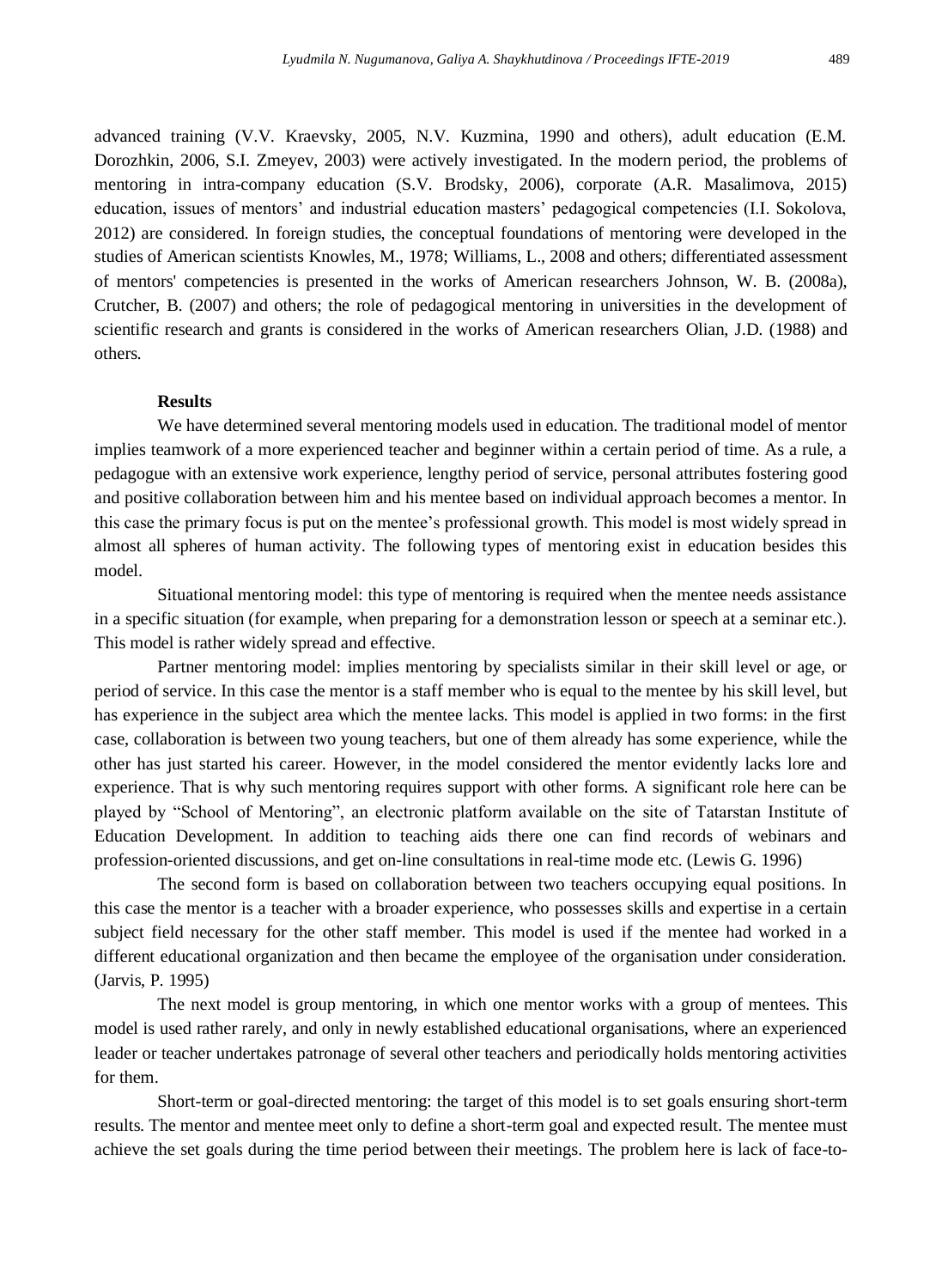advanced training (V.V. Kraevsky, 2005, N.V. Kuzmina, 1990 and others), adult education (E.M. Dorozhkin, 2006, S.I. Zmeyev, 2003) were actively investigated. In the modern period, the problems of mentoring in intra-company education (S.V. Brodsky, 2006), corporate (A.R. Masalimova, 2015) education, issues of mentors' and industrial education masters' pedagogical competencies (I.I. Sokolova, 2012) are considered. In foreign studies, the conceptual foundations of mentoring were developed in the studies of American scientists Knowles, M., 1978; Williams, L., 2008 and others; differentiated assessment of mentors' competencies is presented in the works of American researchers Johnson, W. B. (2008a), Crutcher, B. (2007) and others; the role of pedagogical mentoring in universities in the development of scientific research and grants is considered in the works of American researchers Olian, J.D. (1988) and others.

#### **Results**

We have determined several mentoring models used in education. The traditional model of mentor implies teamwork of a more experienced teacher and beginner within a certain period of time. As a rule, a pedagogue with an extensive work experience, lengthy period of service, personal attributes fostering good and positive collaboration between him and his mentee based on individual approach becomes a mentor. In this case the primary focus is put on the mentee's professional growth. This model is most widely spread in almost all spheres of human activity. The following types of mentoring exist in education besides this model.

Situational mentoring model: this type of mentoring is required when the mentee needs assistance in a specific situation (for example, when preparing for a demonstration lesson or speech at a seminar etc.). This model is rather widely spread and effective.

Partner mentoring model: implies mentoring by specialists similar in their skill level or age, or period of service. In this case the mentor is a staff member who is equal to the mentee by his skill level, but has experience in the subject area which the mentee lacks. This model is applied in two forms: in the first case, collaboration is between two young teachers, but one of them already has some experience, while the other has just started his career. However, in the model considered the mentor evidently lacks lore and experience. That is why such mentoring requires support with other forms. A significant role here can be played by "School of Mentoring", an electronic platform available on the site of Tatarstan Institute of Education Development. In addition to teaching aids there one can find records of webinars and profession-oriented discussions, and get on-line consultations in real-time mode etc. (Lewis G. 1996)

The second form is based on collaboration between two teachers occupying equal positions. In this case the mentor is a teacher with a broader experience, who possesses skills and expertise in a certain subject field necessary for the other staff member. This model is used if the mentee had worked in a different educational organization and then became the employee of the organisation under consideration. (Jarvis, P. 1995)

The next model is group mentoring, in which one mentor works with a group of mentees. This model is used rather rarely, and only in newly established educational organisations, where an experienced leader or teacher undertakes patronage of several other teachers and periodically holds mentoring activities for them.

Short-term or goal-directed mentoring: the target of this model is to set goals ensuring short-term results. The mentor and mentee meet only to define a short-term goal and expected result. The mentee must achieve the set goals during the time period between their meetings. The problem here is lack of face-to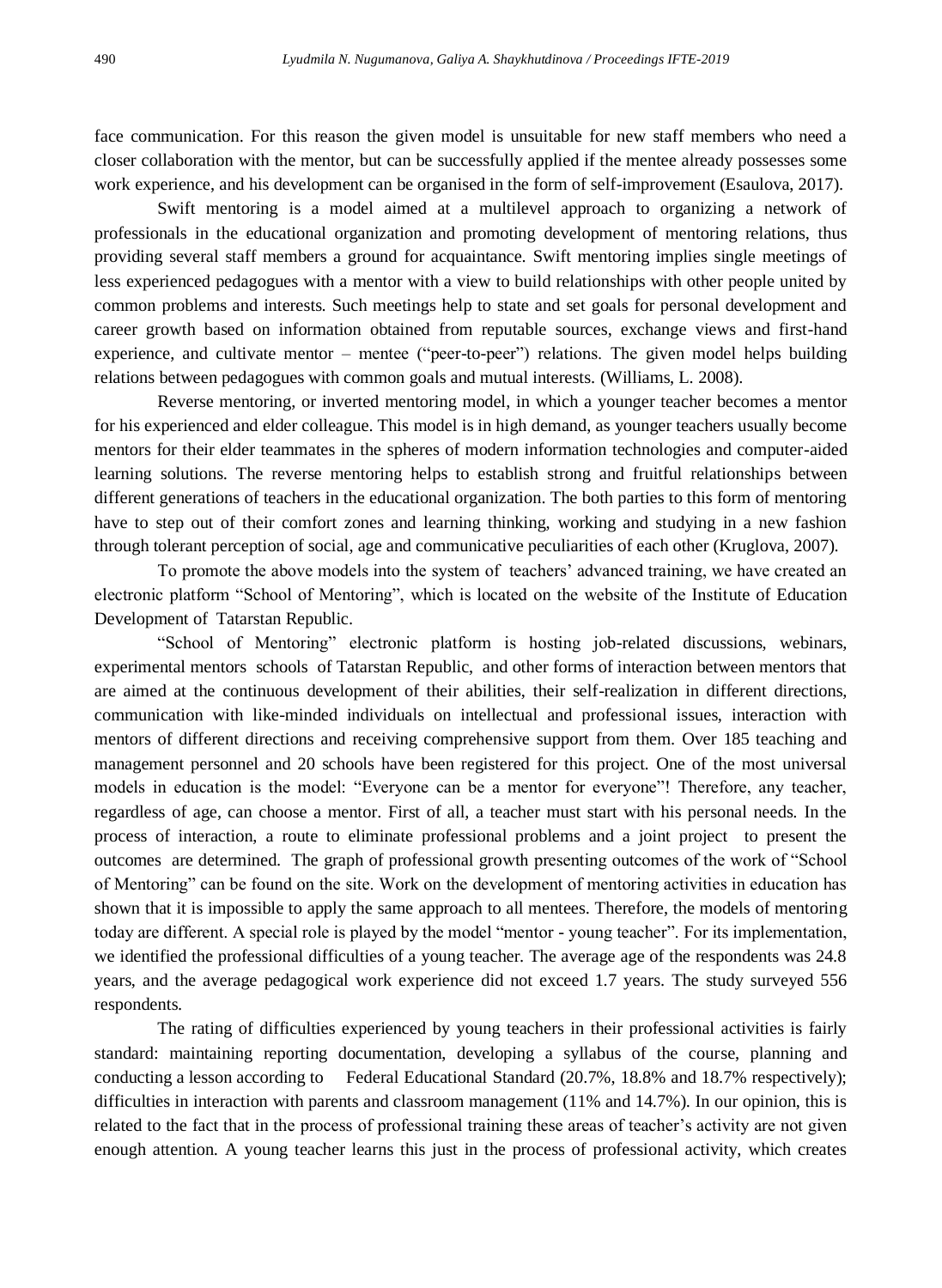face communication. For this reason the given model is unsuitable for new staff members who need a closer collaboration with the mentor, but can be successfully applied if the mentee already possesses some work experience, and his development can be organised in the form of self-improvement (Esaulova, 2017).

Swift mentoring is a model aimed at a multilevel approach to organizing a network of professionals in the educational organization and promoting development of mentoring relations, thus providing several staff members a ground for acquaintance. Swift mentoring implies single meetings of less experienced pedagogues with a mentor with a view to build relationships with other people united by common problems and interests. Such meetings help to state and set goals for personal development and career growth based on information obtained from reputable sources, exchange views and first-hand experience, and cultivate mentor – mentee ("peer-to-peer") relations. The given model helps building relations between pedagogues with common goals and mutual interests. (Williams, L. 2008).

Reverse mentoring, or inverted mentoring model, in which a younger teacher becomes a mentor for his experienced and elder colleague. This model is in high demand, as younger teachers usually become mentors for their elder teammates in the spheres of modern information technologies and computer-aided learning solutions. The reverse mentoring helps to establish strong and fruitful relationships between different generations of teachers in the educational organization. The both parties to this form of mentoring have to step out of their comfort zones and learning thinking, working and studying in a new fashion through tolerant perception of social, age and communicative peculiarities of each other (Kruglova, 2007).

To promote the above models into the system of teachers' advanced training, we have created an electronic platform "School of Mentoring", which is located on the website of the Institute of Education Development of Tatarstan Republic.

"School of Mentoring" electronic platform is hosting job-related discussions, webinars, experimental mentors schools of Tatarstan Republic, and other forms of interaction between mentors that are aimed at the continuous development of their abilities, their self-realization in different directions, communication with like-minded individuals on intellectual and professional issues, interaction with mentors of different directions and receiving comprehensive support from them. Over 185 teaching and management personnel and 20 schools have been registered for this project. One of the most universal models in education is the model: "Everyone can be a mentor for everyone"! Therefore, any teacher, regardless of age, can choose a mentor. First of all, a teacher must start with his personal needs. In the process of interaction, a route to eliminate professional problems and a joint project to present the outcomes are determined. The graph of professional growth presenting outcomes of the work of "School of Mentoring" can be found on the site. Work on the development of mentoring activities in education has shown that it is impossible to apply the same approach to all mentees. Therefore, the models of mentoring today are different. A special role is played by the model "mentor - young teacher". For its implementation, we identified the professional difficulties of a young teacher. The average age of the respondents was 24.8 years, and the average pedagogical work experience did not exceed 1.7 years. The study surveyed 556 respondents.

The rating of difficulties experienced by young teachers in their professional activities is fairly standard: maintaining reporting documentation, developing a syllabus of the course, planning and conducting a lesson according to Federal Educational Standard (20.7%, 18.8% and 18.7% respectively); difficulties in interaction with parents and classroom management (11% and 14.7%). In our opinion, this is related to the fact that in the process of professional training these areas of teacher's activity are not given enough attention. A young teacher learns this just in the process of professional activity, which creates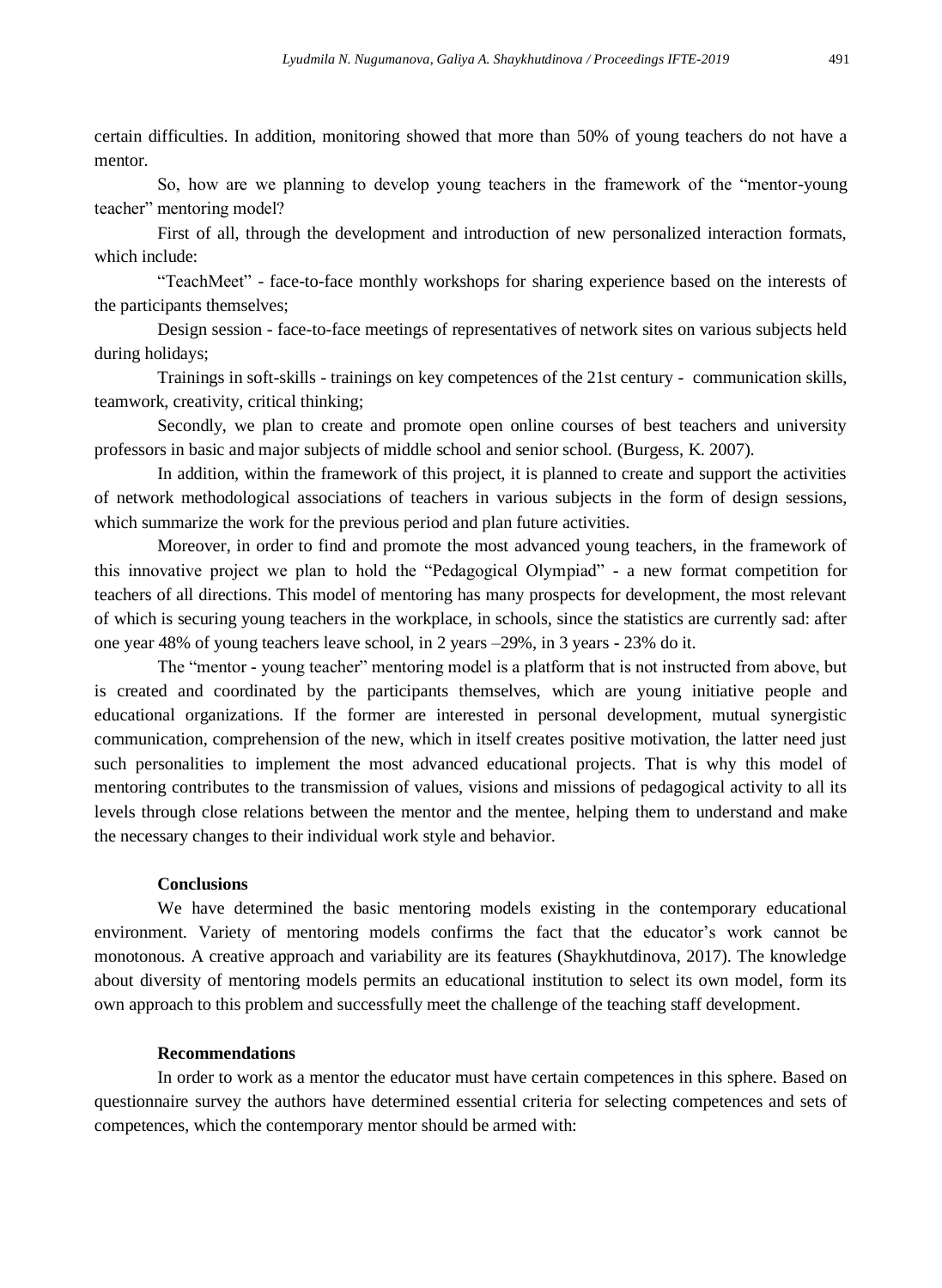certain difficulties. In addition, monitoring showed that more than 50% of young teachers do not have a mentor.

So, how are we planning to develop young teachers in the framework of the "mentor-young teacher" mentoring model?

First of all, through the development and introduction of new personalized interaction formats, which include:

"TeachMeet" - face-to-face monthly workshops for sharing experience based on the interests of the participants themselves;

Design session - face-to-face meetings of representatives of network sites on various subjects held during holidays;

Trainings in soft-skills - trainings on key competences of the 21st century - communication skills, teamwork, creativity, critical thinking;

Secondly, we plan to create and promote open online courses of best teachers and university professors in basic and major subjects of middle school and senior school. (Burgess, K. 2007).

In addition, within the framework of this project, it is planned to create and support the activities of network methodological associations of teachers in various subjects in the form of design sessions, which summarize the work for the previous period and plan future activities.

Moreover, in order to find and promote the most advanced young teachers, in the framework of this innovative project we plan to hold the "Pedagogical Olympiad" - a new format competition for teachers of all directions. This model of mentoring has many prospects for development, the most relevant of which is securing young teachers in the workplace, in schools, since the statistics are currently sad: after one year 48% of young teachers leave school, in 2 years –29%, in 3 years - 23% do it.

The "mentor - young teacher" mentoring model is a platform that is not instructed from above, but is created and coordinated by the participants themselves, which are young initiative people and educational organizations. If the former are interested in personal development, mutual synergistic communication, comprehension of the new, which in itself creates positive motivation, the latter need just such personalities to implement the most advanced educational projects. That is why this model of mentoring contributes to the transmission of values, visions and missions of pedagogical activity to all its levels through close relations between the mentor and the mentee, helping them to understand and make the necessary changes to their individual work style and behavior.

#### **Conclusions**

We have determined the basic mentoring models existing in the contemporary educational environment. Variety of mentoring models confirms the fact that the educator's work cannot be monotonous. A creative approach and variability are its features (Shaykhutdinova, 2017). The knowledge about diversity of mentoring models permits an educational institution to select its own model, form its own approach to this problem and successfully meet the challenge of the teaching staff development.

#### **Recommendations**

In order to work as a mentor the educator must have certain competences in this sphere. Based on questionnaire survey the authors have determined essential criteria for selecting competences and sets of competences, which the contemporary mentor should be armed with: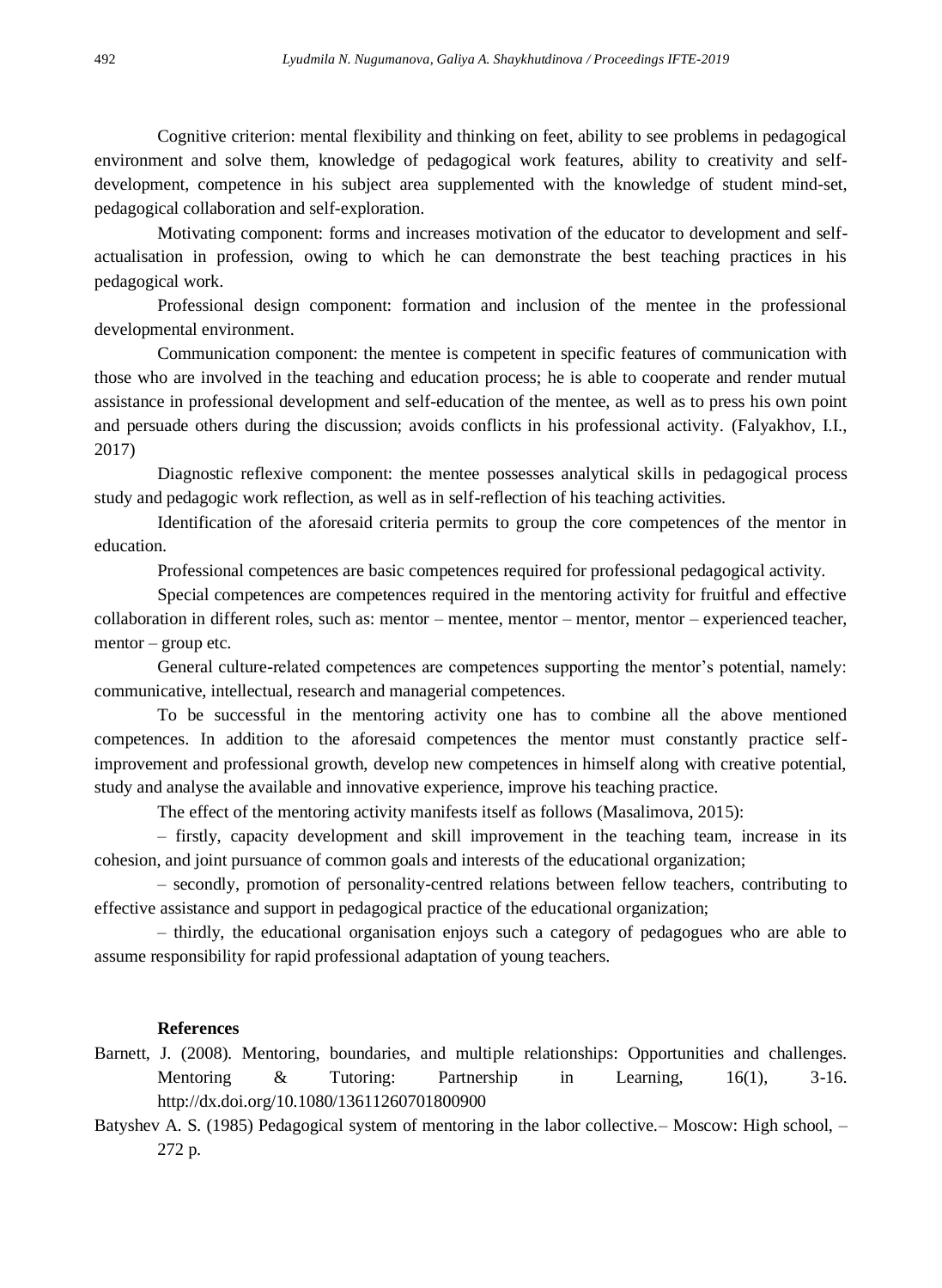Cognitive criterion: mental flexibility and thinking on feet, ability to see problems in pedagogical environment and solve them, knowledge of pedagogical work features, ability to creativity and selfdevelopment, competence in his subject area supplemented with the knowledge of student mind-set, pedagogical collaboration and self-exploration.

Motivating component: forms and increases motivation of the educator to development and selfactualisation in profession, owing to which he can demonstrate the best teaching practices in his pedagogical work.

Professional design component: formation and inclusion of the mentee in the professional developmental environment.

Communication component: the mentee is competent in specific features of communication with those who are involved in the teaching and education process; he is able to cooperate and render mutual assistance in professional development and self-education of the mentee, as well as to press his own point and persuade others during the discussion; avoids conflicts in his professional activity. (Falyakhov, I.I., 2017)

Diagnostic reflexive component: the mentee possesses analytical skills in pedagogical process study and pedagogic work reflection, as well as in self-reflection of his teaching activities.

Identification of the aforesaid criteria permits to group the core competences of the mentor in education.

Professional competences are basic competences required for professional pedagogical activity.

Special competences are competences required in the mentoring activity for fruitful and effective collaboration in different roles, such as: mentor – mentee, mentor – mentor, mentor – experienced teacher, mentor – group etc.

General culture-related competences are competences supporting the mentor's potential, namely: communicative, intellectual, research and managerial competences.

To be successful in the mentoring activity one has to combine all the above mentioned competences. In addition to the aforesaid competences the mentor must constantly practice selfimprovement and professional growth, develop new competences in himself along with creative potential, study and analyse the available and innovative experience, improve his teaching practice.

The effect of the mentoring activity manifests itself as follows (Masalimova, 2015):

– firstly, capacity development and skill improvement in the teaching team, increase in its cohesion, and joint pursuance of common goals and interests of the educational organization;

– secondly, promotion of personality-centred relations between fellow teachers, contributing to effective assistance and support in pedagogical practice of the educational organization;

– thirdly, the educational organisation enjoys such a category of pedagogues who are able to assume responsibility for rapid professional adaptation of young teachers.

#### **References**

- Barnett, J. (2008). Mentoring, boundaries, and multiple relationships: Opportunities and challenges. Mentoring & Tutoring: Partnership in Learning, 16(1), 3-16. http://dx.doi.org/10.1080/13611260701800900
- Batyshev A. S. (1985) Pedagogical system of mentoring in the labor collective.– Moscow: High school, 272 p.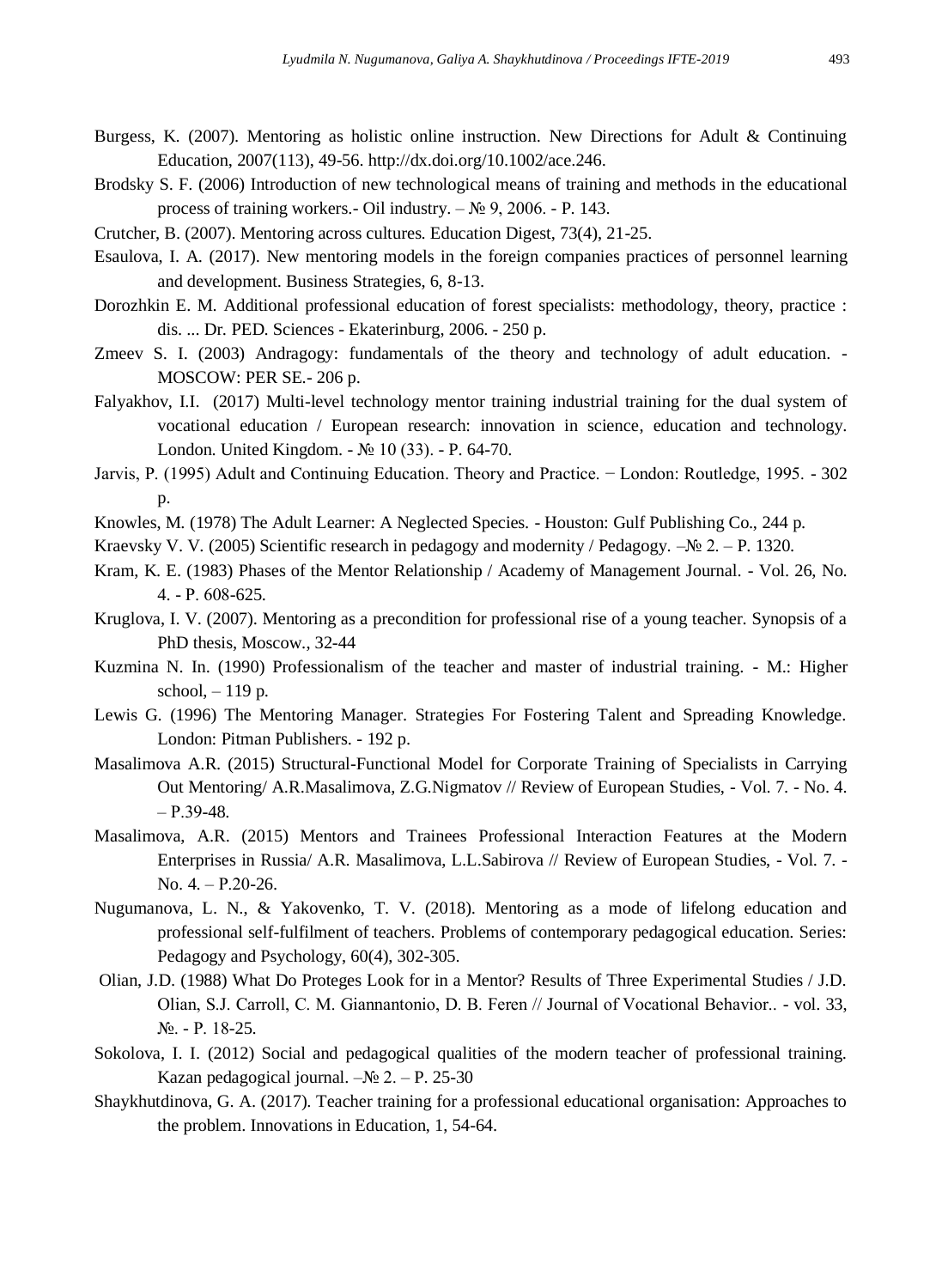- Burgess, K. (2007). Mentoring as holistic online instruction. New Directions for Adult & Continuing Education, 2007(113), 49-56. http://dx.doi.org/10.1002/ace.246.
- Brodsky S. F. (2006) Introduction of new technological means of training and methods in the educational process of training workers.- Oil industry. – № 9, 2006. - P. 143.
- Crutcher, B. (2007). Mentoring across cultures. Education Digest, 73(4), 21-25.
- Esaulova, I. A. (2017). New mentoring models in the foreign companies practices of personnel learning and development. Business Strategies, 6, 8-13.
- Dorozhkin E. M. Additional professional education of forest specialists: methodology, theory, practice : dis. ... Dr. PED. Sciences - Ekaterinburg, 2006. - 250 p.
- Zmeev S. I. (2003) Andragogy: fundamentals of the theory and technology of adult education. MOSCOW: PER SE.- 206 p.
- Falyakhov, I.I. (2017) Multi-level technology mentor training industrial training for the dual system of vocational education / European research: innovation in science, education and technology. London. United Kingdom. - № 10 (33). - P. 64-70.
- Jarvis, P. (1995) Adult and Continuing Education. Theory and Practice. − London: Routledge, 1995. 302 p.
- Knowles, M. (1978) The Adult Learner: A Neglected Species. Houston: Gulf Publishing Co., 244 p.
- Kraevsky V. V. (2005) Scientific research in pedagogy and modernity / Pedagogy.  $-\mathcal{N} \geq 2. -P$ . 1320.
- Kram, K. E. (1983) Phases of the Mentor Relationship / Academy of Management Journal. Vol. 26, No. 4. - Р. 608-625.
- Kruglova, I. V. (2007). Mentoring as a precondition for professional rise of a young teacher. Synopsis of a PhD thesis, Moscow., 32-44
- Kuzmina N. In. (1990) Professionalism of the teacher and master of industrial training. M.: Higher school, – 119 p.
- Lewis G. (1996) The Mentoring Manager. Strategies For Fostering Talent and Spreading Knowledge. London: Pitman Publishers. - 192 p.
- Masalimova A.R. (2015) [Structural-Functional Model for Corporate Training of Specialists in Carrying](http://www.ccsenet.org/journal/index.php/res/article/view/45298)  [Out Mentoring/](http://www.ccsenet.org/journal/index.php/res/article/view/45298) A.R.Masalimova, Z.G.Nigmatov // Review of European Studies, - Vol. 7. - No. 4.  $- P.39-48.$
- Masalimova, A.R. (2015) [Mentors and Trainees Professional Interaction Features at the Modern](http://www.ccsenet.org/journal/index.php/res/article/view/45295)  [Enterprises in Russia/](http://www.ccsenet.org/journal/index.php/res/article/view/45295) A.R. Masalimova, L.L.Sabirova // Review of European Studies, - Vol. 7. - No. 4. – Р.20-26.
- Nugumanova, L. N., & Yakovenko, T. V. (2018). Mentoring as a mode of lifelong education and professional self-fulfilment of teachers. Problems of contemporary pedagogical education. Series: Pedagogy and Psychology, 60(4), 302-305.
- Olian, J.D. (1988) What Do Proteges Look for in a Mentor? Results of Three Experimental Studies / J.D. Olian, S.J. Сarroll, С. M. Giannantonio, D. B. Feren // Journal of Voсational Behavior.. - vol. 33, №. - Р. 18-25.
- Sokolova, I. I. (2012) Social and pedagogical qualities of the modern teacher of professional training. Kazan pedagogical journal.  $-N_2$  2. – P. 25-30
- Shaykhutdinova, G. A. (2017). Teacher training for a professional educational organisation: Approaches to the problem. Innovations in Education, 1, 54-64.